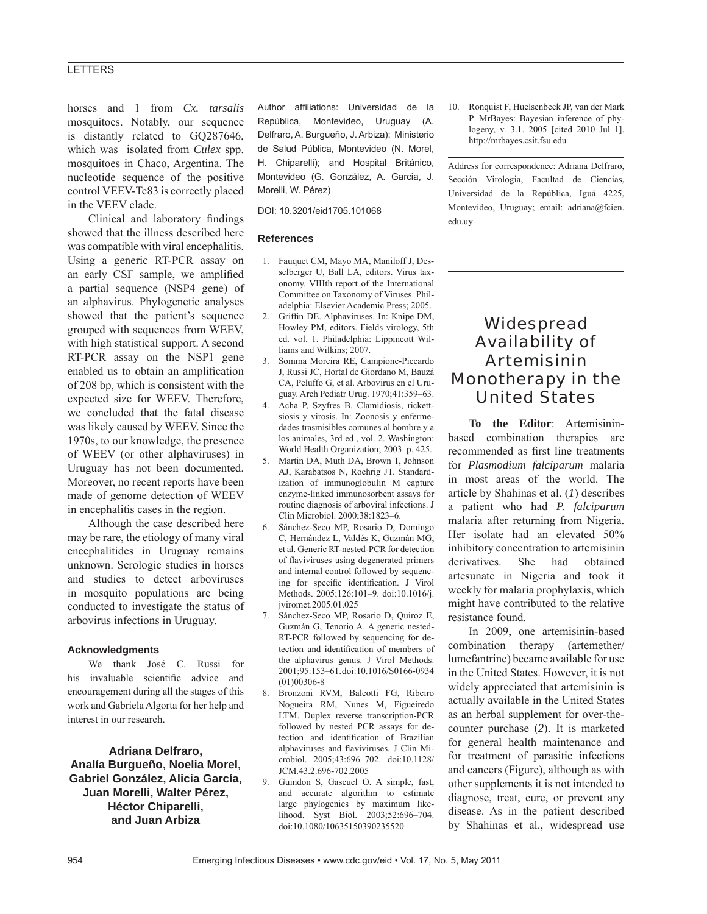## **LETTERS**

horses and 1 from *Cx. tarsalis*  mosquitoes. Notably, our sequence is distantly related to GQ287646, which was isolated from *Culex* spp. mosquitoes in Chaco, Argentina. The nucleotide sequence of the positive control VEEV-Tc83 is correctly placed in the VEEV clade.

Clinical and laboratory findings showed that the illness described here was compatible with viral encephalitis. Using a generic RT-PCR assay on an early CSF sample, we amplified a partial sequence (NSP4 gene) of an alphavirus. Phylogenetic analyses showed that the patient's sequence grouped with sequences from WEEV, with high statistical support. A second RT-PCR assay on the NSP1 gene enabled us to obtain an amplification of 208 bp, which is consistent with the expected size for WEEV. Therefore, we concluded that the fatal disease was likely caused by WEEV. Since the 1970s, to our knowledge, the presence of WEEV (or other alphaviruses) in Uruguay has not been documented. Moreover, no recent reports have been made of genome detection of WEEV in encephalitis cases in the region.

Although the case described here may be rare, the etiology of many viral encephalitides in Uruguay remains unknown. Serologic studies in horses and studies to detect arboviruses in mosquito populations are being conducted to investigate the status of arbovirus infections in Uruguay.

### **Acknowledgments**

We thank José C. Russi for his invaluable scientific advice and encouragement during all the stages of this work and Gabriela Algorta for her help and interest in our research.

**Adriana Delfraro, Analía Burgueño, Noelia Morel, Gabriel González, Alicia García, Juan Morelli, Walter Pérez, Héctor Chiparelli, and Juan Arbiza**

Author affiliations: Universidad de la República, Montevideo, Uruguay (A. Delfraro, A. Burgueño, J. Arbiza); Ministerio de Salud Pública, Montevideo (N. Morel, H. Chiparelli); and Hospital Británico, Montevideo (G. González, A. Garcia, J. Morelli, W. Pérez)

DOI: 10.3201/eid1705.101068

#### **References**

- 1. Fauquet CM, Mayo MA, Maniloff J, Desselberger U, Ball LA, editors. Virus taxonomy. VIIIth report of the International Committee on Taxonomy of Viruses. Philadelphia: Elsevier Academic Press; 2005.
- 2. Griffin DE. Alphaviruses. In: Knipe DM, Howley PM, editors. Fields virology, 5th ed. vol. 1. Philadelphia: Lippincott Williams and Wilkins; 2007.
- 3. Somma Moreira RE, Campione-Piccardo J, Russi JC, Hortal de Giordano M, Bauzá CA, Peluffo G, et al. Arbovirus en el Uruguay. Arch Pediatr Urug. 1970;41:359–63.
- 4. Acha P, Szyfres B. Clamidiosis, rickettsiosis y virosis. In: Zoonosis y enfermedades trasmisibles comunes al hombre y a los animales, 3rd ed., vol. 2. Washington: World Health Organization; 2003. p. 425.
- 5. Martin DA, Muth DA, Brown T, Johnson AJ, Karabatsos N, Roehrig JT. Standardization of immunoglobulin M capture enzyme-linked immunosorbent assays for routine diagnosis of arboviral infections. J Clin Microbiol. 2000;38:1823–6.
- 6. Sánchez-Seco MP, Rosario D, Domingo C, Hernández L, Valdés K, Guzmán MG, et al. Generic RT-nested-PCR for detection of flaviviruses using degenerated primers and internal control followed by sequencing for specific identification. J Virol Methods. 2005;126:101–9. doi:10.1016/j. jviromet.2005.01.025
- 7. Sánchez-Seco MP, Rosario D, Quiroz E, Guzmán G, Tenorio A. A generic nested-RT-PCR followed by sequencing for detection and identification of members of the alphavirus genus. J Virol Methods. 2001;95:153–61. doi:10.1016/S0166-0934 (01)00306-8
- 8. Bronzoni RVM, Baleotti FG, Ribeiro Nogueira RM, Nunes M, Figueiredo LTM. Duplex reverse transcription-PCR followed by nested PCR assays for detection and identification of Brazilian alphaviruses and flaviviruses. J Clin Microbiol. 2005;43:696–702. doi:10.1128/ JCM.43.2.696-702.2005
- 9. Guindon S, Gascuel O. A simple, fast, and accurate algorithm to estimate large phylogenies by maximum likelihood. Syst Biol. 2003;52:696–704. doi:10.1080/10635150390235520

10. Ronquist F, Huelsenbeck JP, van der Mark P. MrBayes: Bayesian inference of phylogeny, v. 3.1. 2005 [cited 2010 Jul 1]. http://mrbayes.csit.fsu.edu

Address for correspondence: Adriana Delfraro, Sección Virologia, Facultad de Ciencias, Universidad de la República, Iguá 4225, Montevideo, Uruguay; email: adriana@fcien. edu.uy

# **Widespread** Availability of Artemisinin Monotherapy in the United States

**To the Editor**: Artemisininbased combination therapies are recommended as first line treatments for *Plasmodium falciparum* malaria in most areas of the world. The article by Shahinas et al. (*1*) describes a patient who had *P. falciparum* malaria after returning from Nigeria. Her isolate had an elevated 50% inhibitory concentration to artemisinin derivatives. She had obtained artesunate in Nigeria and took it weekly for malaria prophylaxis, which might have contributed to the relative resistance found.

In 2009, one artemisinin-based combination therapy (artemether/ lumefantrine) became available for use in the United States. However, it is not widely appreciated that artemisinin is actually available in the United States as an herbal supplement for over-thecounter purchase (*2*). It is marketed for general health maintenance and for treatment of parasitic infections and cancers (Figure), although as with other supplements it is not intended to diagnose, treat, cure, or prevent any disease. As in the patient described by Shahinas et al., widespread use